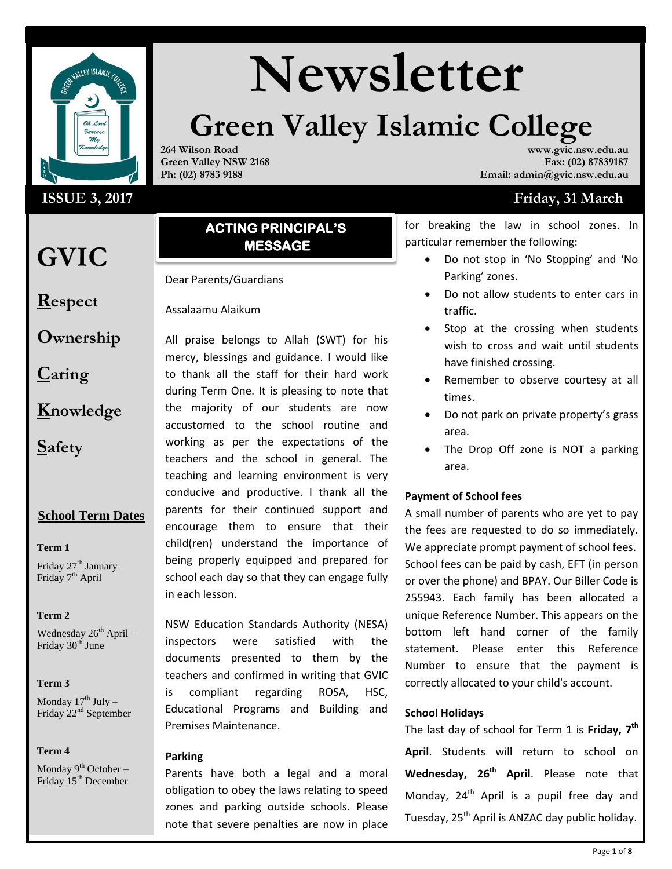

## **ISSUE 3, 2017**

## **GVIC**

**Respect**

**Ownership**

**Caring**

**Knowledge**

**Safety**

## **School Term Dates**

## **Term 1**

Friday  $27<sup>th</sup>$  January – Friday 7<sup>th</sup> April

## **Term 2**

Wednesday  $26<sup>th</sup>$  April – Friday 30<sup>th</sup> June

## **Term 3**

Monday  $17^{th}$  July – Friday 22<sup>nd</sup> September

## **Term 4**

Monday  $9^{th}$  October – Friday 15<sup>th</sup> December

# **Newsletter**

# **Green Valley Islamic College**

**264 Wilson Road Green Valley NSW 2168 Ph: (02) 8783 9188**

**www.gvic.nsw.edu.au Fax: (02) 87839187 Email: admin@gvic.nsw.edu.au**

## **Friday, 31 March**

**ACTING PRINCIPAL'S MESSAGE** 

Dear Parents/Guardians

Assalaamu Alaikum

All praise belongs to Allah (SWT) for his mercy, blessings and guidance. I would like to thank all the staff for their hard work during Term One. It is pleasing to note that the majority of our students are now accustomed to the school routine and working as per the expectations of the teachers and the school in general. The teaching and learning environment is very conducive and productive. I thank all the parents for their continued support and encourage them to ensure that their child(ren) understand the importance of being properly equipped and prepared for school each day so that they can engage fully in each lesson.

NSW Education Standards Authority (NESA) inspectors were satisfied with the documents presented to them by the teachers and confirmed in writing that GVIC is compliant regarding ROSA, HSC, Educational Programs and Building and Premises Maintenance.

## **Parking**

Parents have both a legal and a moral obligation to obey the laws relating to speed zones and parking outside schools. Please note that severe penalties are now in place for breaking the law in school zones. In particular remember the following:

- Do not stop in 'No Stopping' and 'No Parking' zones.
- Do not allow students to enter cars in traffic.
- Stop at the crossing when students wish to cross and wait until students have finished crossing.
- Remember to observe courtesy at all times.
- Do not park on private property's grass area.
- The Drop Off zone is NOT a parking area.

## **Payment of School fees**

A small number of parents who are yet to pay the fees are requested to do so immediately. We appreciate prompt payment of school fees. School fees can be paid by cash, EFT (in person or over the phone) and BPAY. Our Biller Code is 255943. Each family has been allocated a unique Reference Number. This appears on the bottom left hand corner of the family statement. Please enter this Reference Number to ensure that the payment is correctly allocated to your child's account.

## **School Holidays**

The last day of school for Term 1 is **Friday, 7 th April**. Students will return to school on **Wednesday, 26th April**. Please note that Monday, 24<sup>th</sup> April is a pupil free day and Tuesday,  $25<sup>th</sup>$  April is ANZAC day public holiday.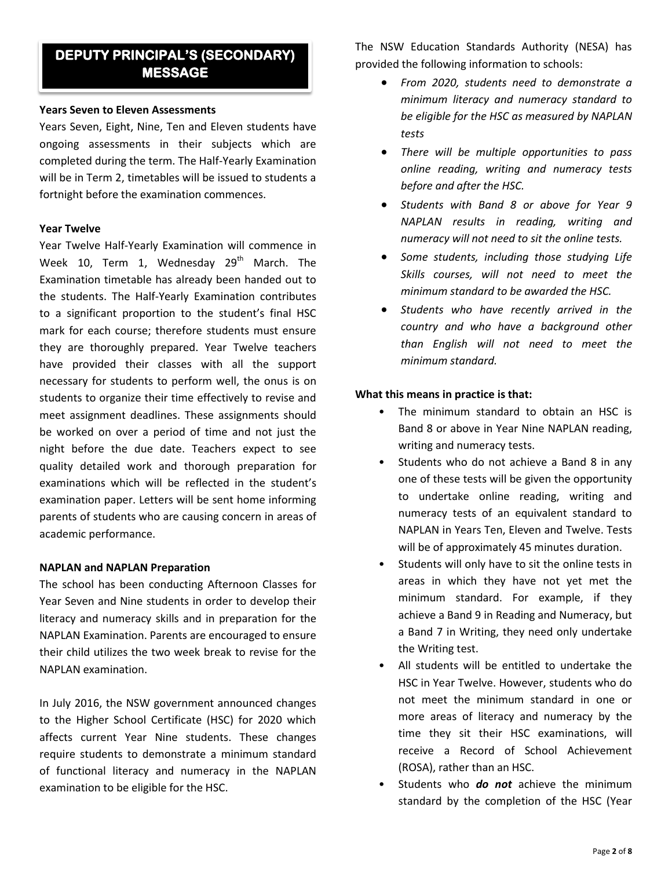## **DEPUTY PRINCIPAL'S (SECONDARY) MESSAGE**

## **Years Seven to Eleven Assessments**

Years Seven, Eight, Nine, Ten and Eleven students have ongoing assessments in their subjects which are completed during the term. The Half-Yearly Examination will be in Term 2, timetables will be issued to students a fortnight before the examination commences.

## **Year Twelve**

Year Twelve Half-Yearly Examination will commence in Week 10, Term 1, Wednesday  $29<sup>th</sup>$  March. The Examination timetable has already been handed out to the students. The Half-Yearly Examination contributes to a significant proportion to the student's final HSC mark for each course; therefore students must ensure they are thoroughly prepared. Year Twelve teachers have provided their classes with all the support necessary for students to perform well, the onus is on students to organize their time effectively to revise and meet assignment deadlines. These assignments should be worked on over a period of time and not just the night before the due date. Teachers expect to see quality detailed work and thorough preparation for examinations which will be reflected in the student's examination paper. Letters will be sent home informing parents of students who are causing concern in areas of academic performance.

## **NAPLAN and NAPLAN Preparation**

The school has been conducting Afternoon Classes for Year Seven and Nine students in order to develop their literacy and numeracy skills and in preparation for the NAPLAN Examination. Parents are encouraged to ensure their child utilizes the two week break to revise for the NAPLAN examination.

In July 2016, the NSW government announced changes to the Higher School Certificate (HSC) for 2020 which affects current Year Nine students. These changes require students to demonstrate a minimum standard of functional literacy and numeracy in the NAPLAN examination to be eligible for the HSC.

The NSW Education Standards Authority (NESA) has provided the following information to schools:

- *From 2020, students need to demonstrate a minimum literacy and numeracy standard to be eligible for the HSC as measured by NAPLAN tests*
- *There will be multiple opportunities to pass online reading, writing and numeracy tests before and after the HSC.*
- *Students with Band 8 or above for Year 9 NAPLAN results in reading, writing and numeracy will not need to sit the online tests.*
- *Some students, including those studying Life Skills courses, will not need to meet the minimum standard to be awarded the HSC.*
- *Students who have recently arrived in the country and who have a background other than English will not need to meet the minimum standard.*

## **What this means in practice is that:**

- The minimum standard to obtain an HSC is Band 8 or above in Year Nine NAPLAN reading, writing and numeracy tests.
- Students who do not achieve a Band 8 in any one of these tests will be given the opportunity to undertake online reading, writing and numeracy tests of an equivalent standard to NAPLAN in Years Ten, Eleven and Twelve. Tests will be of approximately 45 minutes duration.
- Students will only have to sit the online tests in areas in which they have not yet met the minimum standard. For example, if they achieve a Band 9 in Reading and Numeracy, but a Band 7 in Writing, they need only undertake the Writing test.
- All students will be entitled to undertake the HSC in Year Twelve. However, students who do not meet the minimum standard in one or more areas of literacy and numeracy by the time they sit their HSC examinations, will receive a Record of School Achievement (ROSA), rather than an HSC.
- Students who *do not* achieve the minimum standard by the completion of the HSC (Year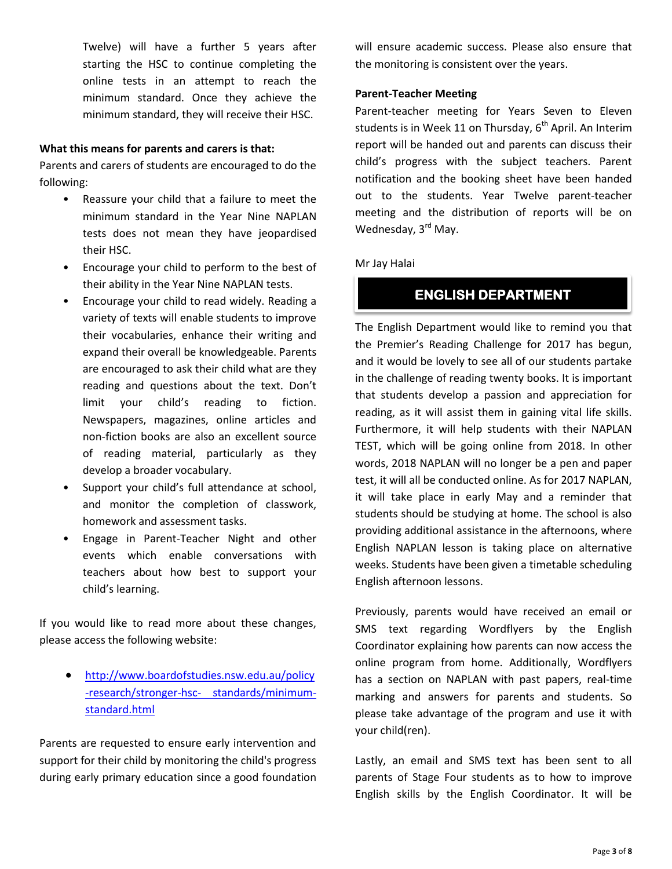Twelve) will have a further 5 years after starting the HSC to continue completing the online tests in an attempt to reach the minimum standard. Once they achieve the minimum standard, they will receive their HSC.

## **What this means for parents and carers is that:**

Parents and carers of students are encouraged to do the following:

- Reassure your child that a failure to meet the minimum standard in the Year Nine NAPLAN tests does not mean they have jeopardised their HSC.
- Encourage your child to perform to the best of their ability in the Year Nine NAPLAN tests.
- Encourage your child to read widely. Reading a variety of texts will enable students to improve their vocabularies, enhance their writing and expand their overall be knowledgeable. Parents are encouraged to ask their child what are they reading and questions about the text. Don't limit your child's reading to fiction. Newspapers, magazines, online articles and non-fiction books are also an excellent source of reading material, particularly as they develop a broader vocabulary.
- Support your child's full attendance at school, and monitor the completion of classwork, homework and assessment tasks.
- Engage in Parent-Teacher Night and other events which enable conversations with teachers about how best to support your child's learning.

If you would like to read more about these changes, please access the following website:

 [http://www.boardofstudies.nsw.edu.au/policy](http://www.boardofstudies.nsw.edu.au/policy-research/stronger-hsc-standards/minimum-standard.html) [-research/stronger-hsc-](http://www.boardofstudies.nsw.edu.au/policy-research/stronger-hsc-standards/minimum-standard.html) [standards/minimum](http://www.boardofstudies.nsw.edu.au/policy-research/stronger-hsc-standards/minimum-standard.html)[standard.html](http://www.boardofstudies.nsw.edu.au/policy-research/stronger-hsc-standards/minimum-standard.html)

Parents are requested to ensure early intervention and support for their child by monitoring the child's progress during early primary education since a good foundation

will ensure academic success. Please also ensure that the monitoring is consistent over the years.

## **Parent-Teacher Meeting**

Parent-teacher meeting for Years Seven to Eleven students is in Week 11 on Thursday,  $6<sup>th</sup>$  April. An Interim report will be handed out and parents can discuss their child's progress with the subject teachers. Parent notification and the booking sheet have been handed out to the students. Year Twelve parent-teacher meeting and the distribution of reports will be on Wednesday, 3<sup>rd</sup> May.

## Mr Jay Halai

## **ENGLISH DEPARTMENT**

The English Department would like to remind you that the Premier's Reading Challenge for 2017 has begun, and it would be lovely to see all of our students partake in the challenge of reading twenty books. It is important that students develop a passion and appreciation for reading, as it will assist them in gaining vital life skills. Furthermore, it will help students with their NAPLAN TEST, which will be going online from 2018. In other words, 2018 NAPLAN will no longer be a pen and paper test, it will all be conducted online. As for 2017 NAPLAN, it will take place in early May and a reminder that students should be studying at home. The school is also providing additional assistance in the afternoons, where English NAPLAN lesson is taking place on alternative weeks. Students have been given a timetable scheduling English afternoon lessons.

Previously, parents would have received an email or SMS text regarding Wordflyers by the English Coordinator explaining how parents can now access the online program from home. Additionally, Wordflyers has a section on NAPLAN with past papers, real-time marking and answers for parents and students. So please take advantage of the program and use it with your child(ren).

Lastly, an email and SMS text has been sent to all parents of Stage Four students as to how to improve English skills by the English Coordinator. It will be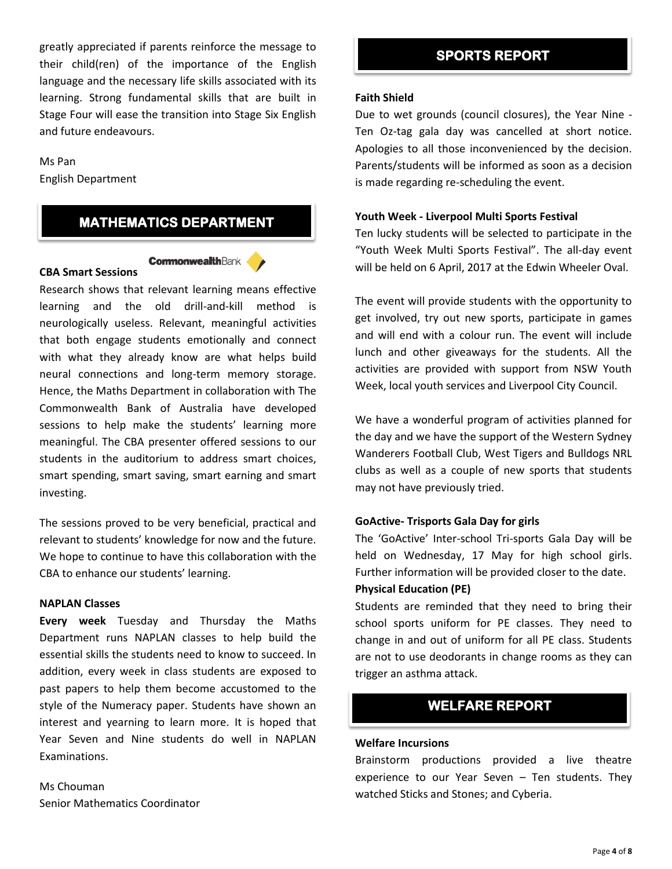greatly appreciated if parents reinforce the message to their child(ren) of the importance of the English language and the necessary life skills associated with its learning. Strong fundamental skills that are built in Stage Four will ease the transition into Stage Six English and future endeavours.

#### Ms Pan

English Department

## **MATHEMATICS DEPARTMENT**

#### **CommonwealthBank**

## **CBA Smart Sessions**

Research shows that relevant learning means effective learning and the old drill-and-kill method is neurologically useless. Relevant, meaningful activities that both engage students emotionally and connect with what they already know are what helps build neural connections and long-term memory storage. Hence, the Maths Department in collaboration with The Commonwealth Bank of Australia have developed sessions to help make the students' learning more meaningful. The CBA presenter offered sessions to our students in the auditorium to address smart choices, smart spending, smart saving, smart earning and smart investing.

The sessions proved to be very beneficial, practical and relevant to students' knowledge for now and the future. We hope to continue to have this collaboration with the CBA to enhance our students' learning.

## **NAPLAN Classes**

**Every week** Tuesday and Thursday the Maths Department runs NAPLAN classes to help build the essential skills the students need to know to succeed. In addition, every week in class students are exposed to past papers to help them become accustomed to the style of the Numeracy paper. Students have shown an interest and yearning to learn more. It is hoped that Year Seven and Nine students do well in NAPLAN Examinations.

Ms Chouman Senior Mathematics Coordinator

## **SPORTS REPORT**

#### **Faith Shield**

Due to wet grounds (council closures), the Year Nine - Ten Oz-tag gala day was cancelled at short notice. Apologies to all those inconvenienced by the decision. Parents/students will be informed as soon as a decision is made regarding re-scheduling the event.

#### **Youth Week - Liverpool Multi Sports Festival**

Ten lucky students will be selected to participate in the "Youth Week Multi Sports Festival". The all-day event will be held on 6 April, 2017 at the Edwin Wheeler Oval.

The event will provide students with the opportunity to get involved, try out new sports, participate in games and will end with a colour run. The event will include lunch and other giveaways for the students. All the activities are provided with support from NSW Youth Week, local youth services and Liverpool City Council.

We have a wonderful program of activities planned for the day and we have the support of the Western Sydney Wanderers Football Club, West Tigers and Bulldogs NRL clubs as well as a couple of new sports that students may not have previously tried.

#### **GoActive- Trisports Gala Day for girls**

The 'GoActive' Inter-school Tri-sports Gala Day will be held on Wednesday, 17 May for high school girls. Further information will be provided closer to the date.

## **Physical Education (PE)**

Students are reminded that they need to bring their school sports uniform for PE classes. They need to change in and out of uniform for all PE class. Students are not to use deodorants in change rooms as they can trigger an asthma attack.

## **WELFARE REPORT**

## **Welfare Incursions**

Brainstorm productions provided a live theatre experience to our Year Seven – Ten students. They watched Sticks and Stones; and Cyberia.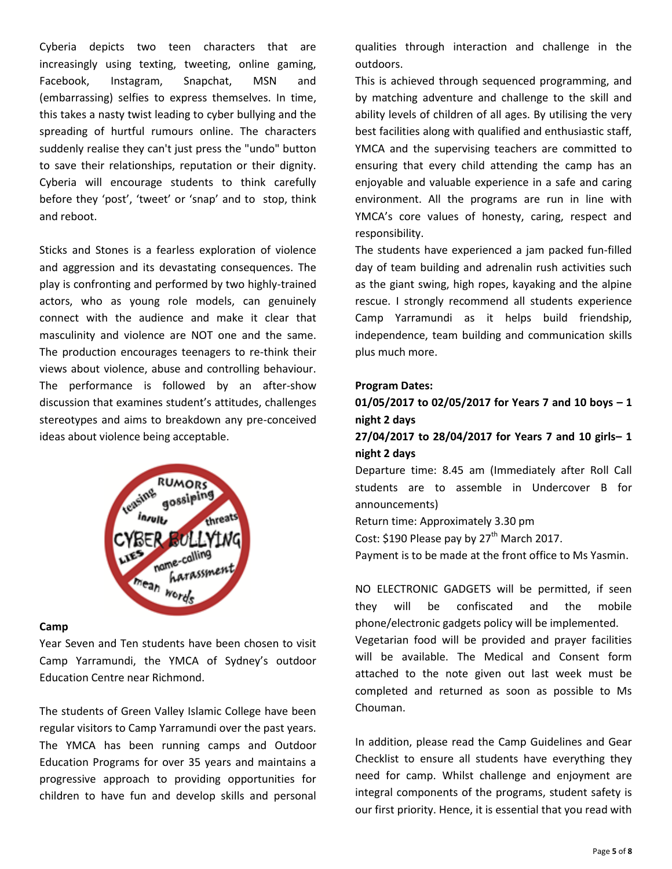Cyberia depicts two teen characters that are increasingly using texting, tweeting, online gaming, Facebook, Instagram, Snapchat, MSN and (embarrassing) selfies to express themselves. In time, this takes a nasty twist leading to cyber bullying and the spreading of hurtful rumours online. The characters suddenly realise they can't just press the "undo" button to save their relationships, reputation or their dignity. Cyberia will encourage students to think carefully before they 'post', 'tweet' or 'snap' and to stop, think and reboot.

Sticks and Stones is a fearless exploration of violence and aggression and its devastating consequences. The play is confronting and performed by two highly-trained actors, who as young role models, can genuinely connect with the audience and make it clear that masculinity and violence are NOT one and the same. The production encourages teenagers to re-think their views about violence, abuse and controlling behaviour. The performance is followed by an after-show discussion that examines student's attitudes, challenges stereotypes and aims to breakdown any pre-conceived ideas about violence being acceptable.



## **Camp**

Year Seven and Ten students have been chosen to visit Camp Yarramundi, the YMCA of Sydney's outdoor Education Centre near Richmond.

The students of Green Valley Islamic College have been regular visitors to Camp Yarramundi over the past years. The YMCA has been running camps and Outdoor Education Programs for over 35 years and maintains a progressive approach to providing opportunities for children to have fun and develop skills and personal qualities through interaction and challenge in the outdoors.

This is achieved through sequenced programming, and by matching adventure and challenge to the skill and ability levels of children of all ages. By utilising the very best facilities along with qualified and enthusiastic staff, YMCA and the supervising teachers are committed to ensuring that every child attending the camp has an enjoyable and valuable experience in a safe and caring environment. All the programs are run in line with YMCA's core values of honesty, caring, respect and responsibility.

The students have experienced a jam packed fun-filled day of team building and adrenalin rush activities such as the giant swing, high ropes, kayaking and the alpine rescue. I strongly recommend all students experience Camp Yarramundi as it helps build friendship, independence, team building and communication skills plus much more.

## **Program Dates:**

## **01/05/2017 to 02/05/2017 for Years 7 and 10 boys – 1 night 2 days**

## **27/04/2017 to 28/04/2017 for Years 7 and 10 girls– 1 night 2 days**

Departure time: 8.45 am (Immediately after Roll Call students are to assemble in Undercover B for announcements)

Return time: Approximately 3.30 pm

Cost: \$190 Please pay by  $27<sup>th</sup>$  March 2017.

Payment is to be made at the front office to Ms Yasmin.

NO ELECTRONIC GADGETS will be permitted, if seen they will be confiscated and the mobile phone/electronic gadgets policy will be implemented.

Vegetarian food will be provided and prayer facilities will be available. The Medical and Consent form attached to the note given out last week must be completed and returned as soon as possible to Ms Chouman.

In addition, please read the Camp Guidelines and Gear Checklist to ensure all students have everything they need for camp. Whilst challenge and enjoyment are integral components of the programs, student safety is our first priority. Hence, it is essential that you read with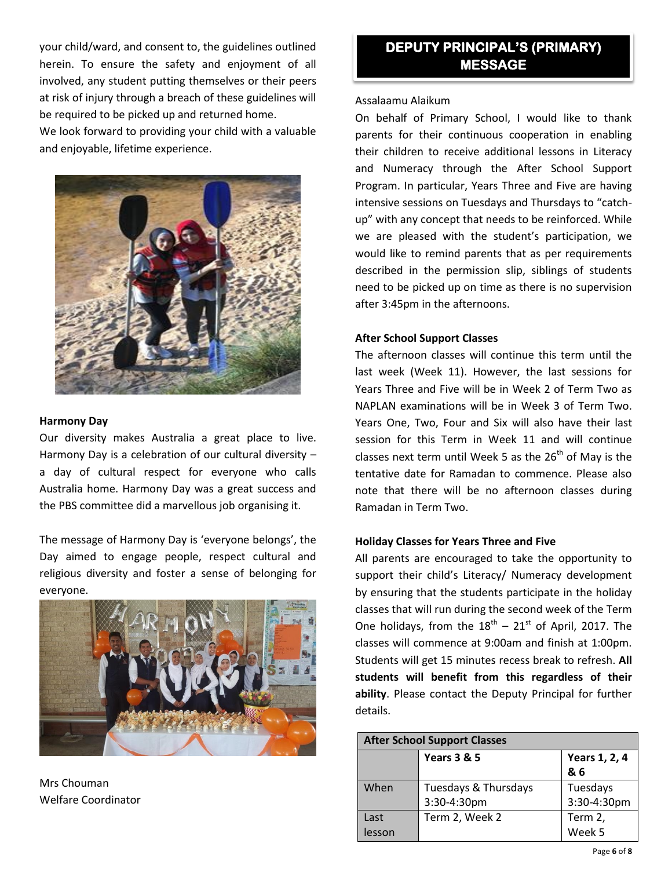your child/ward, and consent to, the guidelines outlined herein. To ensure the safety and enjoyment of all involved, any student putting themselves or their peers at risk of injury through a breach of these guidelines will be required to be picked up and returned home.

We look forward to providing your child with a valuable and enjoyable, lifetime experience.



## **Harmony Day**

Our diversity makes Australia a great place to live. Harmony Day is a celebration of our cultural diversity – a day of cultural respect for everyone who calls Australia home. Harmony Day was a great success and the PBS committee did a marvellous job organising it.

The message of Harmony Day is 'everyone belongs', the Day aimed to engage people, respect cultural and religious diversity and foster a sense of belonging for everyone.



Mrs Chouman Welfare Coordinator

## **DEPUTY PRINCIPAL'S (PRIMARY) MESSAGE**

## Assalaamu Alaikum

On behalf of Primary School, I would like to thank parents for their continuous cooperation in enabling their children to receive additional lessons in Literacy and Numeracy through the After School Support Program. In particular, Years Three and Five are having intensive sessions on Tuesdays and Thursdays to "catchup" with any concept that needs to be reinforced. While we are pleased with the student's participation, we would like to remind parents that as per requirements described in the permission slip, siblings of students need to be picked up on time as there is no supervision after 3:45pm in the afternoons.

## **After School Support Classes**

The afternoon classes will continue this term until the last week (Week 11). However, the last sessions for Years Three and Five will be in Week 2 of Term Two as NAPLAN examinations will be in Week 3 of Term Two. Years One, Two, Four and Six will also have their last session for this Term in Week 11 and will continue classes next term until Week 5 as the  $26<sup>th</sup>$  of May is the tentative date for Ramadan to commence. Please also note that there will be no afternoon classes during Ramadan in Term Two.

## **Holiday Classes for Years Three and Five**

All parents are encouraged to take the opportunity to support their child's Literacy/ Numeracy development by ensuring that the students participate in the holiday classes that will run during the second week of the Term One holidays, from the  $18^{th}$  –  $21^{st}$  of April, 2017. The classes will commence at 9:00am and finish at 1:00pm. Students will get 15 minutes recess break to refresh. **All students will benefit from this regardless of their ability**. Please contact the Deputy Principal for further details.

| <b>After School Support Classes</b> |                        |               |  |  |
|-------------------------------------|------------------------|---------------|--|--|
|                                     | <b>Years 3 &amp; 5</b> | Years 1, 2, 4 |  |  |
|                                     |                        | & 6           |  |  |
| When                                | Tuesdays & Thursdays   | Tuesdays      |  |  |
|                                     | 3:30-4:30pm            | 3:30-4:30pm   |  |  |
| Last                                | Term 2, Week 2         | Term 2,       |  |  |
| lesson                              |                        | Week 5        |  |  |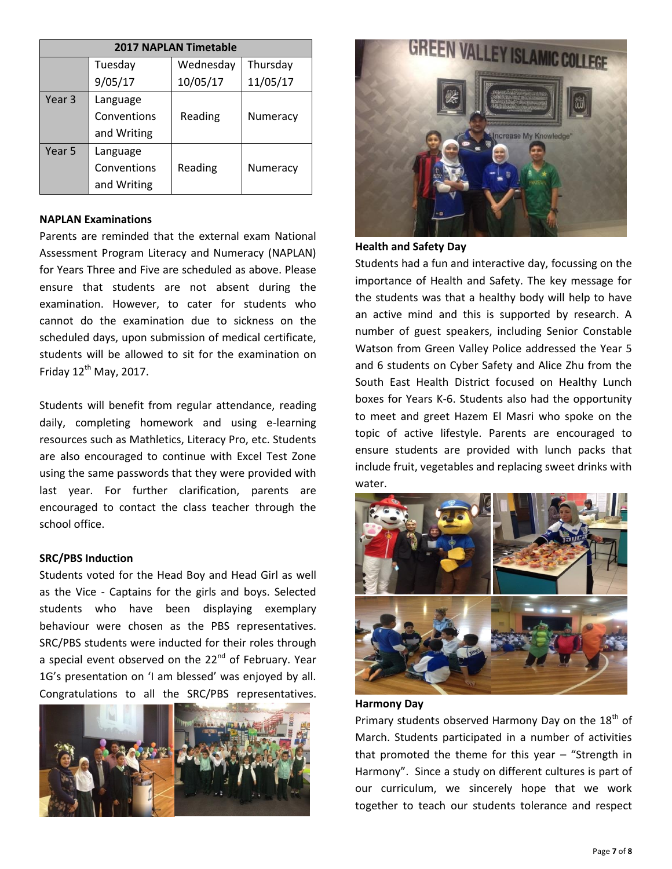| <b>2017 NAPLAN Timetable</b> |             |           |          |  |  |
|------------------------------|-------------|-----------|----------|--|--|
|                              | Tuesday     | Wednesday | Thursday |  |  |
|                              | 9/05/17     | 10/05/17  | 11/05/17 |  |  |
| Year 3                       | Language    |           |          |  |  |
|                              | Conventions | Reading   | Numeracy |  |  |
|                              | and Writing |           |          |  |  |
| Year 5                       | Language    |           |          |  |  |
|                              | Conventions | Reading   | Numeracy |  |  |
|                              | and Writing |           |          |  |  |

## **NAPLAN Examinations**

Parents are reminded that the external exam National Assessment Program Literacy and Numeracy (NAPLAN) for Years Three and Five are scheduled as above. Please ensure that students are not absent during the examination. However, to cater for students who cannot do the examination due to sickness on the scheduled days, upon submission of medical certificate, students will be allowed to sit for the examination on Friday  $12^{th}$  May, 2017.

Students will benefit from regular attendance, reading daily, completing homework and using e-learning resources such as Mathletics, Literacy Pro, etc. Students are also encouraged to continue with Excel Test Zone using the same passwords that they were provided with last year. For further clarification, parents are encouraged to contact the class teacher through the school office.

#### **SRC/PBS Induction**

Students voted for the Head Boy and Head Girl as well as the Vice - Captains for the girls and boys. Selected students who have been displaying exemplary behaviour were chosen as the PBS representatives. SRC/PBS students were inducted for their roles through a special event observed on the 22<sup>nd</sup> of February. Year 1G's presentation on 'I am blessed' was enjoyed by all. Congratulations to all the SRC/PBS representatives.





## **Health and Safety Day**

Students had a fun and interactive day, focussing on the importance of Health and Safety. The key message for the students was that a healthy body will help to have an active mind and this is supported by research. A number of guest speakers, including Senior Constable Watson from Green Valley Police addressed the Year 5 and 6 students on Cyber Safety and Alice Zhu from the South East Health District focused on Healthy Lunch boxes for Years K-6. Students also had the opportunity to meet and greet Hazem El Masri who spoke on the topic of active lifestyle. Parents are encouraged to ensure students are provided with lunch packs that include fruit, vegetables and replacing sweet drinks with water.



#### **Harmony Day**

Primary students observed Harmony Day on the 18<sup>th</sup> of March. Students participated in a number of activities that promoted the theme for this year  $-$  "Strength in Harmony". Since a study on different cultures is part of our curriculum, we sincerely hope that we work together to teach our students tolerance and respect